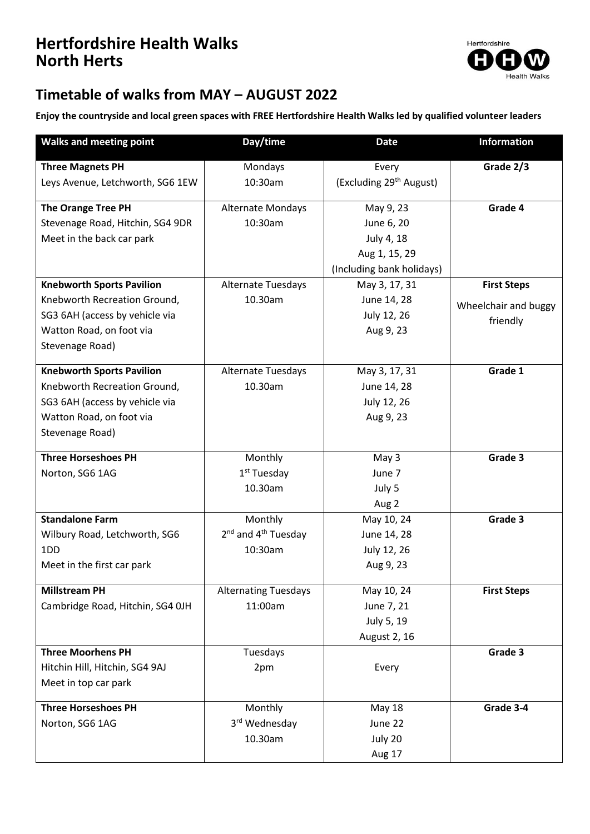## **Hertfordshire Health Walks North Herts**



## **Timetable of walks from MAY – AUGUST 2022**

**Enjoy the countryside and local green spaces with FREE Hertfordshire Health Walks led by qualified volunteer leaders**

| <b>Walks and meeting point</b>   | Day/time                                    | <b>Date</b>                         | <b>Information</b>   |
|----------------------------------|---------------------------------------------|-------------------------------------|----------------------|
| <b>Three Magnets PH</b>          | Mondays                                     | Every                               | Grade 2/3            |
| Leys Avenue, Letchworth, SG6 1EW | 10:30am                                     | (Excluding 29 <sup>th</sup> August) |                      |
| <b>The Orange Tree PH</b>        | Alternate Mondays                           | May 9, 23                           | Grade 4              |
| Stevenage Road, Hitchin, SG4 9DR | 10:30am                                     | June 6, 20                          |                      |
| Meet in the back car park        |                                             | July 4, 18                          |                      |
|                                  |                                             | Aug 1, 15, 29                       |                      |
|                                  |                                             | (Including bank holidays)           |                      |
| <b>Knebworth Sports Pavilion</b> | Alternate Tuesdays                          | May 3, 17, 31                       | <b>First Steps</b>   |
| Knebworth Recreation Ground,     | 10.30am                                     | June 14, 28                         | Wheelchair and buggy |
| SG3 6AH (access by vehicle via   |                                             | July 12, 26                         | friendly             |
| Watton Road, on foot via         |                                             | Aug 9, 23                           |                      |
| Stevenage Road)                  |                                             |                                     |                      |
| <b>Knebworth Sports Pavilion</b> | Alternate Tuesdays                          | May 3, 17, 31                       | Grade 1              |
| Knebworth Recreation Ground,     | 10.30am                                     | June 14, 28                         |                      |
| SG3 6AH (access by vehicle via   |                                             | July 12, 26                         |                      |
| Watton Road, on foot via         |                                             | Aug 9, 23                           |                      |
| Stevenage Road)                  |                                             |                                     |                      |
|                                  |                                             |                                     |                      |
| <b>Three Horseshoes PH</b>       | Monthly                                     | May 3                               | Grade 3              |
| Norton, SG6 1AG                  | 1 <sup>st</sup> Tuesday                     | June 7                              |                      |
|                                  | 10.30am                                     | July 5<br>Aug 2                     |                      |
| <b>Standalone Farm</b>           | Monthly                                     | May 10, 24                          | Grade 3              |
| Wilbury Road, Letchworth, SG6    | 2 <sup>nd</sup> and 4 <sup>th</sup> Tuesday | June 14, 28                         |                      |
| 1 <sub>D</sub> D                 | 10:30am                                     | July 12, 26                         |                      |
| Meet in the first car park       |                                             | Aug 9, 23                           |                      |
|                                  |                                             |                                     |                      |
| <b>Millstream PH</b>             | <b>Alternating Tuesdays</b>                 | May 10, 24                          | <b>First Steps</b>   |
| Cambridge Road, Hitchin, SG4 OJH | 11:00am                                     | June 7, 21                          |                      |
|                                  |                                             | July 5, 19                          |                      |
|                                  |                                             | August 2, 16                        |                      |
| <b>Three Moorhens PH</b>         | Tuesdays                                    |                                     | Grade 3              |
| Hitchin Hill, Hitchin, SG4 9AJ   | 2pm                                         | Every                               |                      |
| Meet in top car park             |                                             |                                     |                      |
| <b>Three Horseshoes PH</b>       | Monthly                                     | <b>May 18</b>                       | Grade 3-4            |
| Norton, SG6 1AG                  | 3rd Wednesday                               | June 22                             |                      |
|                                  | 10.30am                                     | July 20                             |                      |
|                                  |                                             | Aug 17                              |                      |